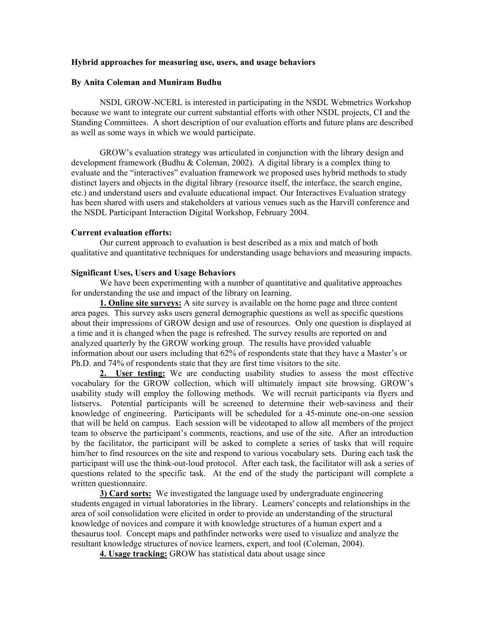### **Hybrid approaches for measuring use, users, and usage behaviors**

#### **By Anita Coleman and Muniram Budhu**

NSDL GROW-NCERL is interested in participating in the NSDL Webmetrics Workshop because we want to integrate our current substantial efforts with other NSDL projects, CI and the Standing Committees. A short description of our evaluation efforts and future plans are described as well as some ways in which we would participate.

GROW's evaluation strategy was articulated in conjunction with the library design and development framework (Budhu & Coleman, 2002). A digital library is a complex thing to evaluate and the "interactives" evaluation framework we proposed uses hybrid methods to study distinct layers and objects in the digital library (resource itself, the interface, the search engine, etc.) and understand users and evaluate educational impact. Our Interactives Evaluation strategy has been shared with users and stakeholders at various venues such as the Harvill conference and the NSDL Participant Interaction Digital Workshop, February 2004.

#### **Current evaluation efforts:**

Our current approach to evaluation is best described as a mix and match of both qualitative and quantitative techniques for understanding usage behaviors and measuring impacts.

#### **Significant Uses, Users and Usage Behaviors**

We have been experimenting with a number of quantitative and qualitative approaches for understanding the use and impact of the library on learning.

**1. Online site surveys:** A site survey is available on the home page and three content area pages. This survey asks users general demographic questions as well as specific questions about their impressions of GROW design and use of resources. Only one question is displayed at a time and it is changed when the page is refreshed. The survey results are reported on and analyzed quarterly by the GROW working group. The results have provided valuable information about our users including that 62% of respondents state that they have a Master's or Ph.D. and 74% of respondents state that they are first time visitors to the site.

**2. User testing:** We are conducting usability studies to assess the most effective vocabulary for the GROW collection, which will ultimately impact site browsing. GROW's usability study will employ the following methods. We will recruit participants via flyers and listservs. Potential participants will be screened to determine their web-saviness and their knowledge of engineering. Participants will be scheduled for a 45-minute one-on-one session that will be held on campus. Each session will be videotaped to allow all members of the project team to observe the participant's comments, reactions, and use of the site. After an introduction by the facilitator, the participant will be asked to complete a series of tasks that will require him/her to find resources on the site and respond to various vocabulary sets. During each task the participant will use the think-out-loud protocol. After each task, the facilitator will ask a series of questions related to the specific task. At the end of the study the participant will complete a written questionnaire.

**3) Card sorts:** We investigated the language used by undergraduate engineering students engaged in virtual laboratories in the library. Learners' concepts and relationships in the area of soil consolidation were elicited in order to provide an understanding of the structural knowledge of novices and compare it with knowledge structures of a human expert and a thesaurus tool. Concept maps and pathfinder networks were used to visualize and analyze the resultant knowledge structures of novice learners, expert, and tool (Coleman, 2004).

**4. Usage tracking:** GROW has statistical data about usage since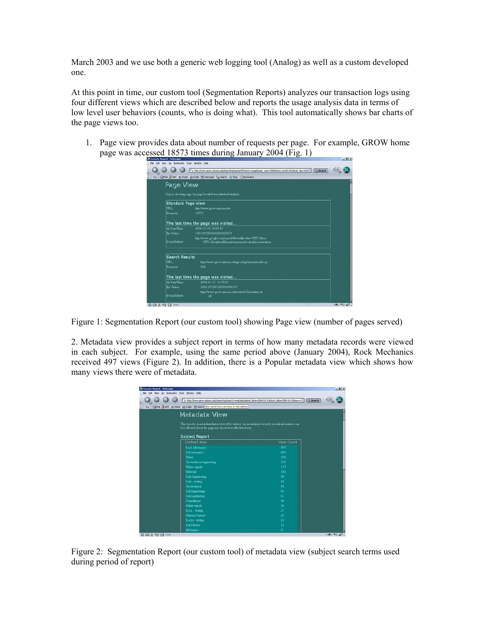March 2003 and we use both a generic web logging tool (Analog) as well as a custom developed one.

At this point in time, our custom tool (Segmentation Reports) analyzes our transaction logs using four different views which are described below and reports the usage analysis data in terms of low level user behaviors (counts, who is doing what). This tool automatically shows bar charts of the page views too.

1. Page view provides data about number of requests per page. For example, GROW home page was accessed 18573 times during January 2004 (Fig. 1)

| Page View                 |                                                                                                         |
|---------------------------|---------------------------------------------------------------------------------------------------------|
|                           |                                                                                                         |
|                           | Report showing page-by-page breakdown statistical analysis.                                             |
| <b>Standard Page View</b> |                                                                                                         |
| TIRT.                     | http://www.grow.arizona.edu                                                                             |
| Requests:                 | 18573                                                                                                   |
|                           | The last time the page was visited                                                                      |
| At Date/Time:             | 2004-01-31 00:01:41                                                                                     |
| By Visitor:               | 10011072940500000020171                                                                                 |
| From Referer              | http://www.google.com/search?hl=en&lr=&ie=UTF-8&oe<br>UTF-8&safe=off&o=ar+pressure+calculator+elevation |
|                           |                                                                                                         |
| <b>Search Results</b>     |                                                                                                         |
| <b>URL</b>                | http://www.grow.arizona.edu/grow/sp/searchresults.isp                                                   |
| Requests:                 | 948                                                                                                     |
|                           | The last time the page was visited                                                                      |
| At Date/Time:             | 2004-01-31 14:13:36                                                                                     |
| By Visitor:               | 10011072991360000080147                                                                                 |
|                           | http://www.grow.arizona.edu/water/k12activities.sh                                                      |
| From Referer              | ml                                                                                                      |

Figure 1: Segmentation Report (our custom tool) showing Page view (number of pages served)

2. Metadata view provides a subject report in terms of how many metadata records were viewed in each subject. For example, using the same period above (January 2004), Rock Mechanics received 497 views (Figure 2). In addition, there is a Popular metadata view which shows how many views there were of metadata.

| Si Generic Report - Netscape |                                                                                                                                                                    |                           | $-18$ x |
|------------------------------|--------------------------------------------------------------------------------------------------------------------------------------------------------------------|---------------------------|---------|
| Edit<br><b>View</b>          | Go Bookmarks Tools Window Help                                                                                                                                     |                           |         |
|                              | http://www.grow.arizona.edu/reporting/report?r=metadatabend_date=2004-01-318start_date=2004-01-018max=                                                             | Q <sub>search</sub>       |         |
|                              |                                                                                                                                                                    |                           |         |
| $\mathbb{E}$ ,               | SMail & AIM Si Home @ Radio [M] Netsca Enter search term, keyword, or web address                                                                                  |                           |         |
|                              | Metadata View                                                                                                                                                      |                           |         |
|                              | This reports on metadata that is viewed by visitors. As metadata is viewed, special information can<br>be collected about the page and about how effective it was. |                           |         |
|                              | <b>Subject Report</b>                                                                                                                                              |                           |         |
|                              | Content Area                                                                                                                                                       | View Count                |         |
|                              | Rock Mechanics                                                                                                                                                     | 497                       |         |
|                              | Soil mechanics                                                                                                                                                     | 482                       |         |
|                              | Water                                                                                                                                                              | 256                       |         |
|                              | Geotechnical engineering                                                                                                                                           | 255                       |         |
|                              | Water-supply                                                                                                                                                       | 133                       |         |
|                              | Materials                                                                                                                                                          | 102                       |         |
|                              | Soils Engineering                                                                                                                                                  | 90                        |         |
|                              | Soils - testing                                                                                                                                                    | 69                        |         |
|                              | Geotechnical                                                                                                                                                       | 48                        |         |
|                              | Soil Engineering                                                                                                                                                   | 43                        |         |
|                              | Soil Equefaction                                                                                                                                                   | 41                        |         |
|                              | Foundations                                                                                                                                                        | 40                        |         |
|                              | Water supply                                                                                                                                                       | 30                        |         |
|                              | Rock - testing                                                                                                                                                     | 27                        |         |
|                              | <b>General Science</b>                                                                                                                                             | 2 <sup>3</sup>            |         |
|                              | Rocks - testing                                                                                                                                                    | 23                        |         |
|                              | <b>Soil Physics</b>                                                                                                                                                | $\overline{\mathfrak{z}}$ |         |
|                              | Mechanics                                                                                                                                                          | 21                        |         |

Figure 2: Segmentation Report (our custom tool) of metadata view (subject search terms used during period of report)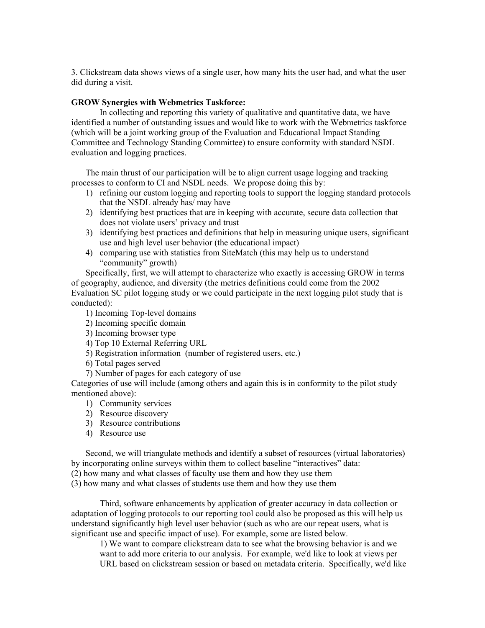3. Clickstream data shows views of a single user, how many hits the user had, and what the user did during a visit.

## **GROW Synergies with Webmetrics Taskforce:**

In collecting and reporting this variety of qualitative and quantitative data, we have identified a number of outstanding issues and would like to work with the Webmetrics taskforce (which will be a joint working group of the Evaluation and Educational Impact Standing Committee and Technology Standing Committee) to ensure conformity with standard NSDL evaluation and logging practices.

The main thrust of our participation will be to align current usage logging and tracking processes to conform to CI and NSDL needs. We propose doing this by:

- 1) refining our custom logging and reporting tools to support the logging standard protocols that the NSDL already has/ may have
- 2) identifying best practices that are in keeping with accurate, secure data collection that does not violate users' privacy and trust
- 3) identifying best practices and definitions that help in measuring unique users, significant use and high level user behavior (the educational impact)
- 4) comparing use with statistics from SiteMatch (this may help us to understand "community" growth)

Specifically, first, we will attempt to characterize who exactly is accessing GROW in terms of geography, audience, and diversity (the metrics definitions could come from the 2002 Evaluation SC pilot logging study or we could participate in the next logging pilot study that is conducted):

- 1) Incoming Top-level domains
- 2) Incoming specific domain
- 3) Incoming browser type
- 4) Top 10 External Referring URL
- 5) Registration information (number of registered users, etc.)
- 6) Total pages served
- 7) Number of pages for each category of use

Categories of use will include (among others and again this is in conformity to the pilot study mentioned above):

- 1) Community services
- 2) Resource discovery
- 3) Resource contributions
- 4) Resource use

Second, we will triangulate methods and identify a subset of resources (virtual laboratories) by incorporating online surveys within them to collect baseline "interactives" data:

(2) how many and what classes of faculty use them and how they use them

(3) how many and what classes of students use them and how they use them

Third, software enhancements by application of greater accuracy in data collection or adaptation of logging protocols to our reporting tool could also be proposed as this will help us understand significantly high level user behavior (such as who are our repeat users, what is significant use and specific impact of use). For example, some are listed below.

1) We want to compare clickstream data to see what the browsing behavior is and we want to add more criteria to our analysis. For example, we'd like to look at views per URL based on clickstream session or based on metadata criteria. Specifically, we'd like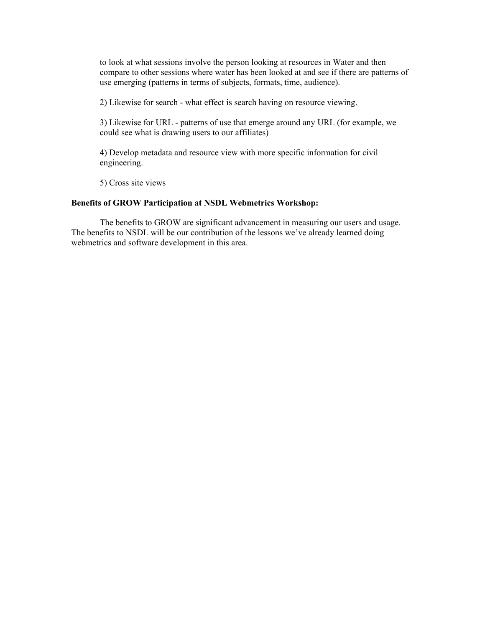to look at what sessions involve the person looking at resources in Water and then compare to other sessions where water has been looked at and see if there are patterns of use emerging (patterns in terms of subjects, formats, time, audience).

2) Likewise for search - what effect is search having on resource viewing.

3) Likewise for URL - patterns of use that emerge around any URL (for example, we could see what is drawing users to our affiliates)

4) Develop metadata and resource view with more specific information for civil engineering.

5) Cross site views

## **Benefits of GROW Participation at NSDL Webmetrics Workshop:**

The benefits to GROW are significant advancement in measuring our users and usage. The benefits to NSDL will be our contribution of the lessons we've already learned doing webmetrics and software development in this area.